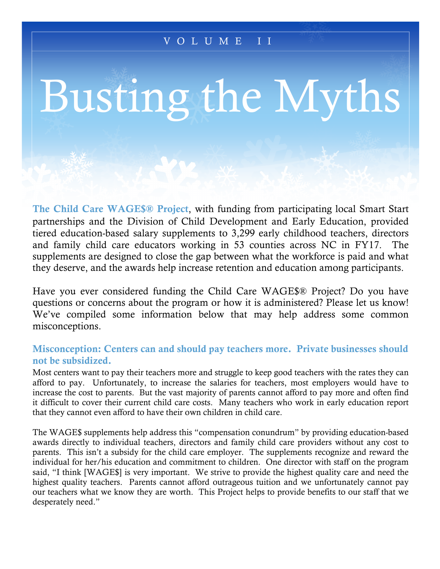# VOLUME II

# Busting the Myths

The Child Care WAGE\$® Project, with funding from participating local Smart Start partnerships and the Division of Child Development and Early Education, provided tiered education-based salary supplements to 3,299 early childhood teachers, directors and family child care educators working in 53 counties across NC in FY17. The supplements are designed to close the gap between what the workforce is paid and what they deserve, and the awards help increase retention and education among participants.

Have you ever considered funding the Child Care WAGE\$® Project? Do you have questions or concerns about the program or how it is administered? Please let us know! We've compiled some information below that may help address some common misconceptions.

## Misconception: Centers can and should pay teachers more. Private businesses should not be subsidized.

Most centers want to pay their teachers more and struggle to keep good teachers with the rates they can afford to pay. Unfortunately, to increase the salaries for teachers, most employers would have to increase the cost to parents. But the vast majority of parents cannot afford to pay more and often find it difficult to cover their current child care costs. Many teachers who work in early education report that they cannot even afford to have their own children in child care.

The WAGE\$ supplements help address this "compensation conundrum" by providing education-based awards directly to individual teachers, directors and family child care providers without any cost to parents. This isn't a subsidy for the child care employer. The supplements recognize and reward the individual for her/his education and commitment to children. One director with staff on the program said, "I think [WAGE\$] is very important. We strive to provide the highest quality care and need the highest quality teachers. Parents cannot afford outrageous tuition and we unfortunately cannot pay our teachers what we know they are worth. This Project helps to provide benefits to our staff that we desperately need."